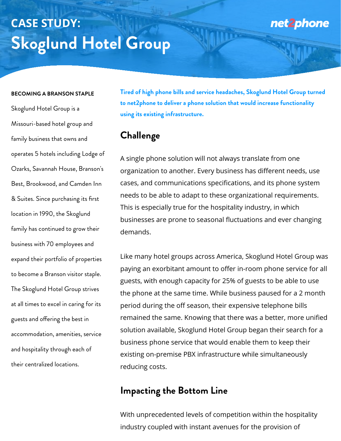#### **BECOMING A BRANSON STAPLE**

Skoglund Hotel Group is a

Missouri-based hotel group and

family business that owns and

operates 5 hotels including Lodge of

Ozarks, Savannah House, Branson's

Best, Brookwood, and Camden Inn & Suites. Since purchasing its first location in 1990, the Skoglund family has continued to grow their business with 70 employees and expand their portfolio of properties to become a Branson visitor staple. The Skoglund Hotel Group strives at all times to excel in caring for its guests and ofering the best in accommodation, amenities, service

and hospitality through each of

their centralized locations.

**Tired of high phone bills and service headaches, Skoglund Hotel Group turned to net2phone to deliver a phone solution that would increase functionality using its existing infrastructure.**

### **Challenge**

A single phone solution will not always translate from one



organization to another. Every business has different needs, use cases, and communications specifications, and its phone system needs to be able to adapt to these organizational requirements. This is especially true for the hospitality industry, in which businesses are prone to seasonal fluctuations and ever changing demands.

Like many hotel groups across America, Skoglund Hotel Group was paying an exorbitant amount to offer in-room phone service for all guests, with enough capacity for 25% of guests to be able to use the phone at the same time. While business paused for a 2 month period during the off season, their expensive telephone bills remained the same. Knowing that there was a better, more unified solution available, Skoglund Hotel Group began their search for a

business phone service that would enable them to keep their existing on-premise PBX infrastructure while simultaneously reducing costs.

## **Impacting the Bottom Line**

With unprecedented levels of competition within the hospitality

industry coupled with instant avenues for the provision of

# **CASE STUDY: Skoglund Hotel Group**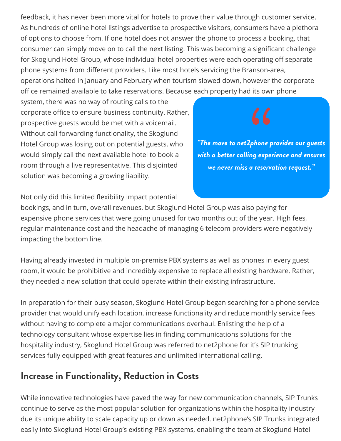feedback, it has never been more vital for hotels to prove their value through customer service. As hundreds of online hotel listings advertise to prospective visitors, consumers have a plethora of options to choose from. If one hotel does not answer the phone to process a booking, that consumer can simply move on to call the next listing. This was becoming a significant challenge for Skoglund Hotel Group, whose individual hotel properties were each operating off separate phone systems from different providers. Like most hotels servicing the Branson-area, operations halted in January and February when tourism slowed down, however the corporate office remained available to take reservations. Because each property had its own phone system, there was no way of routing calls to the corporate office to ensure business continuity. Rather,

prospective guests would be met with a voicemail. Without call forwarding functionality, the Skoglund Hotel Group was losing out on potential guests, who would simply call the next available hotel to book a room through a live representative. This disjointed solution was becoming a growing liability.

Not only did this limited flexibility impact potential bookings, and in turn, overall revenues, but Skoglund Hotel Group was also paying for

expensive phone services that were going unused for two months out of the year. High fees, regular maintenance cost and the headache of managing 6 telecom providers were negatively impacting the bottom line.

Having already invested in multiple on-premise PBX systems as well as phones in every guest room, it would be prohibitive and incredibly expensive to replace all existing hardware. Rather, they needed a new solution that could operate within their existing infrastructure.

In preparation for their busy season, Skoglund Hotel Group began searching for a phone service provider that would unify each location, increase functionality and reduce monthly service fees without having to complete a major communications overhaul. Enlisting the help of a technology consultant whose expertise lies in finding communications solutions for the hospitality industry, Skoglund Hotel Group was referred to net2phone for it's SIP trunking services fully equipped with great features and unlimited international calling.

#### **Increase in Functionality, Reduction in Costs**

While innovative technologies have paved the way for new communication channels, SIP Trunks continue to serve as the most popular solution for organizations within the hospitality industry due its unique ability to scale capacity up or down as needed. net2phone's SIP Trunks integrated easily into Skoglund Hotel Group's existing PBX systems, enabling the team at Skoglund Hotel

*"The move to net2phone provides our guests with a better calling experience and ensures we never miss a reservation request."*